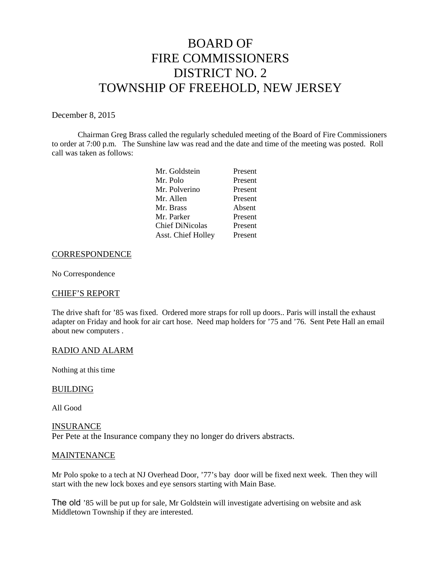# BOARD OF FIRE COMMISSIONERS DISTRICT NO. 2 TOWNSHIP OF FREEHOLD, NEW JERSEY

## December 8, 2015

Chairman Greg Brass called the regularly scheduled meeting of the Board of Fire Commissioners to order at 7:00 p.m. The Sunshine law was read and the date and time of the meeting was posted. Roll call was taken as follows:

| Present |
|---------|
| Present |
| Present |
| Present |
| Absent  |
| Present |
| Present |
| Present |
|         |

#### **CORRESPONDENCE**

No Correspondence

## CHIEF'S REPORT

The drive shaft for '85 was fixed. Ordered more straps for roll up doors.. Paris will install the exhaust adapter on Friday and hook for air cart hose. Need map holders for '75 and '76. Sent Pete Hall an email about new computers .

## RADIO AND ALARM

Nothing at this time

#### BUILDING

All Good

#### INSURANCE

Per Pete at the Insurance company they no longer do drivers abstracts.

#### **MAINTENANCE**

Mr Polo spoke to a tech at NJ Overhead Door, '77's bay door will be fixed next week. Then they will start with the new lock boxes and eye sensors starting with Main Base.

The old '85 will be put up for sale, Mr Goldstein will investigate advertising on website and ask Middletown Township if they are interested.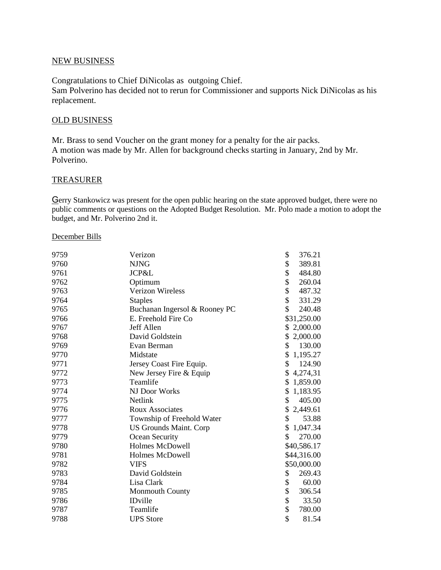# NEW BUSINESS

Congratulations to Chief DiNicolas as outgoing Chief. Sam Polverino has decided not to rerun for Commissioner and supports Nick DiNicolas as his replacement.

# OLD BUSINESS

Mr. Brass to send Voucher on the grant money for a penalty for the air packs. A motion was made by Mr. Allen for background checks starting in January, 2nd by Mr. Polverino.

# TREASURER

Gerry Stankowicz was present for the open public hearing on the state approved budget, there were no public comments or questions on the Adopted Budget Resolution. Mr. Polo made a motion to adopt the budget, and Mr. Polverino 2nd it.

#### December Bills

| 9759 | Verizon                       | \$<br>376.21 |
|------|-------------------------------|--------------|
| 9760 | <b>NJNG</b>                   | \$<br>389.81 |
| 9761 | JCP&L                         | \$<br>484.80 |
| 9762 | Optimum                       | \$<br>260.04 |
| 9763 | Verizon Wireless              | \$<br>487.32 |
| 9764 | <b>Staples</b>                | \$<br>331.29 |
| 9765 | Buchanan Ingersol & Rooney PC | \$<br>240.48 |
| 9766 | E. Freehold Fire Co           | \$31,250.00  |
| 9767 | Jeff Allen                    | \$2,000.00   |
| 9768 | David Goldstein               | \$2,000.00   |
| 9769 | Evan Berman                   | \$<br>130.00 |
| 9770 | Midstate                      | \$1,195.27   |
| 9771 | Jersey Coast Fire Equip.      | \$<br>124.90 |
| 9772 | New Jersey Fire & Equip       | \$4,274,31   |
| 9773 | Teamlife                      | \$1,859.00   |
| 9774 | NJ Door Works                 | \$1,183.95   |
| 9775 | Netlink                       | \$<br>405.00 |
| 9776 | <b>Roux Associates</b>        | \$2,449.61   |
| 9777 | Township of Freehold Water    | \$<br>53.88  |
| 9778 | <b>US Grounds Maint. Corp</b> | \$1,047.34   |
| 9779 | Ocean Security                | \$<br>270.00 |
| 9780 | <b>Holmes McDowell</b>        | \$40,586.17  |
| 9781 | Holmes McDowell               | \$44,316.00  |
| 9782 | VIFS                          | \$50,000.00  |
| 9783 | David Goldstein               | \$<br>269.43 |
| 9784 | Lisa Clark                    | \$<br>60.00  |
| 9785 | <b>Monmouth County</b>        | \$<br>306.54 |
| 9786 | <b>IDville</b>                | \$<br>33.50  |
| 9787 | Teamlife                      | \$<br>780.00 |
| 9788 | <b>UPS</b> Store              | \$<br>81.54  |